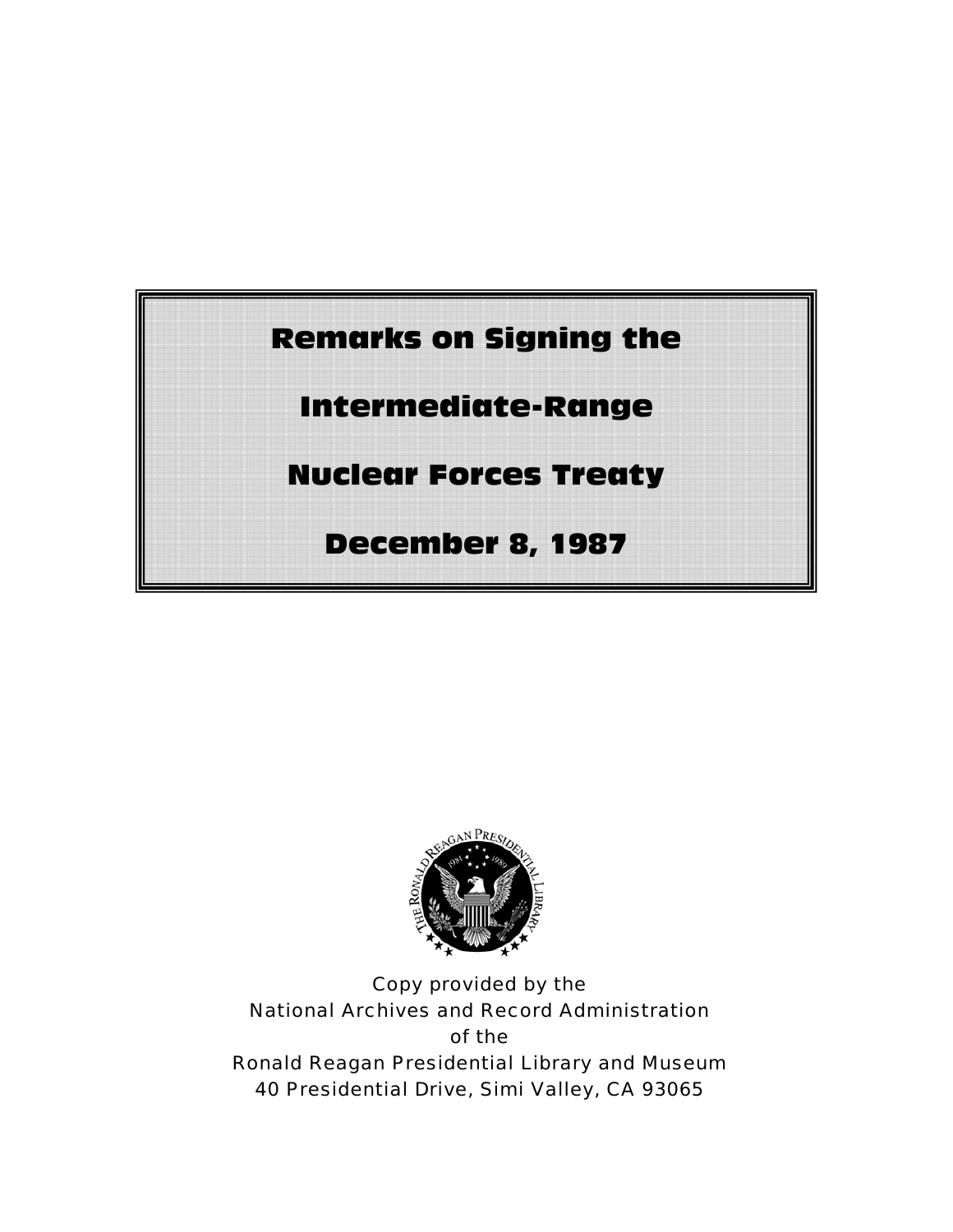



Copy provided by the National Archives and Record Administration of the Ronald Reagan Presidential Library and Museum 40 Presidential Drive, Simi Valley, CA 93065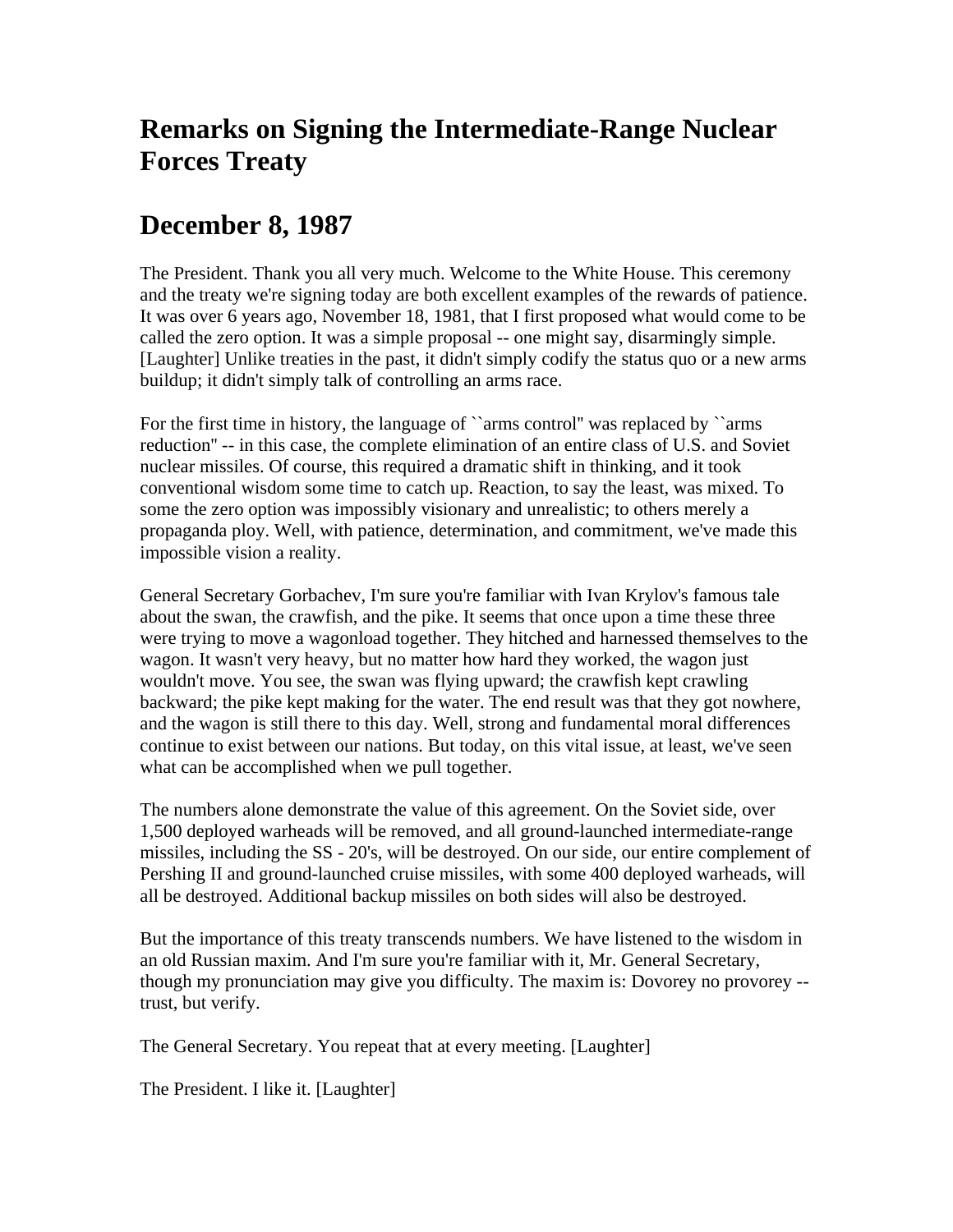## **Remarks on Signing the Intermediate-Range Nuclear Forces Treaty**

## **December 8, 1987**

The President. Thank you all very much. Welcome to the White House. This ceremony and the treaty we're signing today are both excellent examples of the rewards of patience. It was over 6 years ago, November 18, 1981, that I first proposed what would come to be called the zero option. It was a simple proposal -- one might say, disarmingly simple. [Laughter] Unlike treaties in the past, it didn't simply codify the status quo or a new arms buildup; it didn't simply talk of controlling an arms race.

For the first time in history, the language of "arms control" was replaced by "arms" reduction'' -- in this case, the complete elimination of an entire class of U.S. and Soviet nuclear missiles. Of course, this required a dramatic shift in thinking, and it took conventional wisdom some time to catch up. Reaction, to say the least, was mixed. To some the zero option was impossibly visionary and unrealistic; to others merely a propaganda ploy. Well, with patience, determination, and commitment, we've made this impossible vision a reality.

General Secretary Gorbachev, I'm sure you're familiar with Ivan Krylov's famous tale about the swan, the crawfish, and the pike. It seems that once upon a time these three were trying to move a wagonload together. They hitched and harnessed themselves to the wagon. It wasn't very heavy, but no matter how hard they worked, the wagon just wouldn't move. You see, the swan was flying upward; the crawfish kept crawling backward; the pike kept making for the water. The end result was that they got nowhere, and the wagon is still there to this day. Well, strong and fundamental moral differences continue to exist between our nations. But today, on this vital issue, at least, we've seen what can be accomplished when we pull together.

The numbers alone demonstrate the value of this agreement. On the Soviet side, over 1,500 deployed warheads will be removed, and all ground-launched intermediate-range missiles, including the SS - 20's, will be destroyed. On our side, our entire complement of Pershing II and ground-launched cruise missiles, with some 400 deployed warheads, will all be destroyed. Additional backup missiles on both sides will also be destroyed.

But the importance of this treaty transcends numbers. We have listened to the wisdom in an old Russian maxim. And I'm sure you're familiar with it, Mr. General Secretary, though my pronunciation may give you difficulty. The maxim is: Dovorey no provorey - trust, but verify.

The General Secretary. You repeat that at every meeting. [Laughter]

The President. I like it. [Laughter]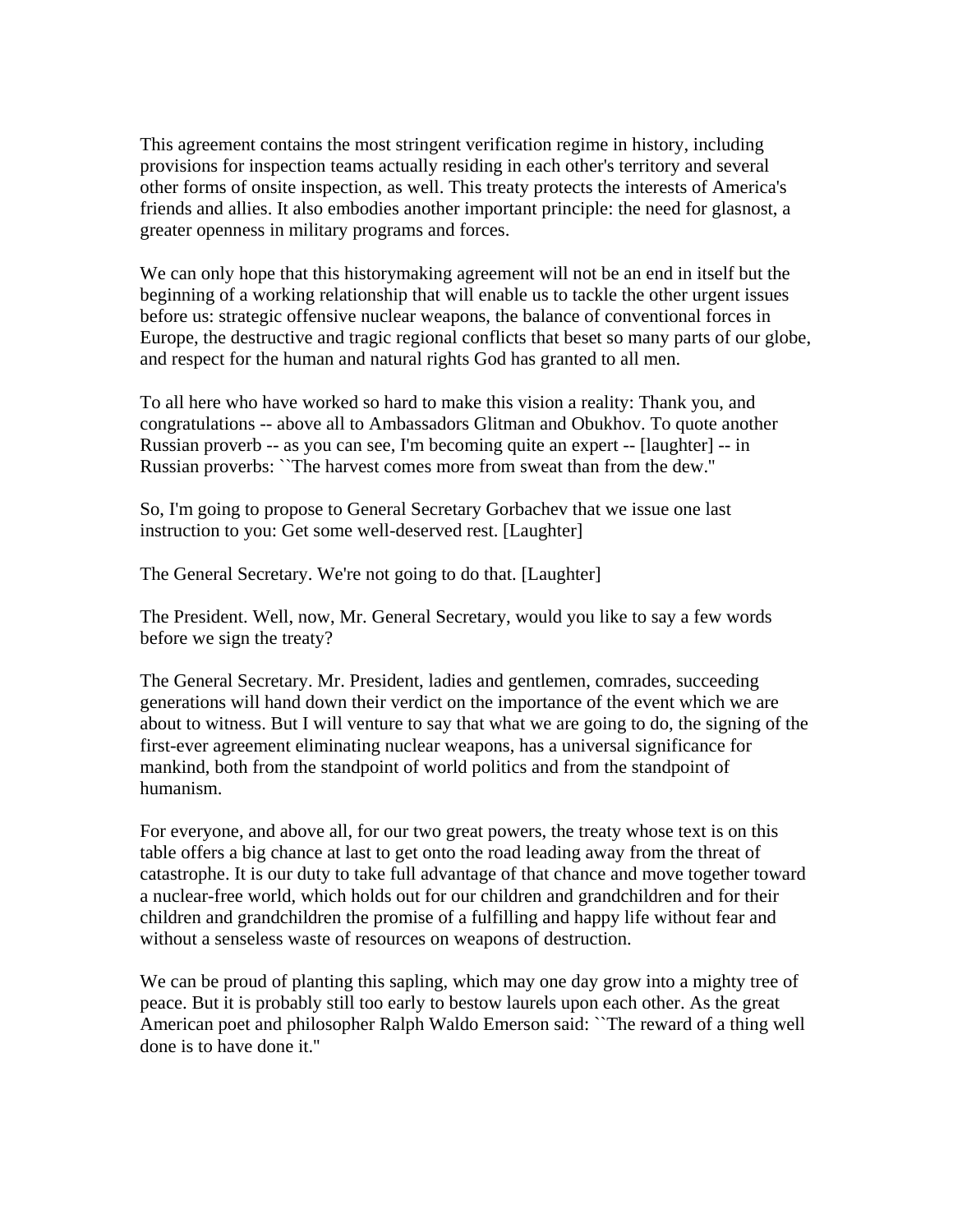This agreement contains the most stringent verification regime in history, including provisions for inspection teams actually residing in each other's territory and several other forms of onsite inspection, as well. This treaty protects the interests of America's friends and allies. It also embodies another important principle: the need for glasnost, a greater openness in military programs and forces.

We can only hope that this historymaking agreement will not be an end in itself but the beginning of a working relationship that will enable us to tackle the other urgent issues before us: strategic offensive nuclear weapons, the balance of conventional forces in Europe, the destructive and tragic regional conflicts that beset so many parts of our globe, and respect for the human and natural rights God has granted to all men.

To all here who have worked so hard to make this vision a reality: Thank you, and congratulations -- above all to Ambassadors Glitman and Obukhov. To quote another Russian proverb -- as you can see, I'm becoming quite an expert -- [laughter] -- in Russian proverbs: ``The harvest comes more from sweat than from the dew.''

So, I'm going to propose to General Secretary Gorbachev that we issue one last instruction to you: Get some well-deserved rest. [Laughter]

The General Secretary. We're not going to do that. [Laughter]

The President. Well, now, Mr. General Secretary, would you like to say a few words before we sign the treaty?

The General Secretary. Mr. President, ladies and gentlemen, comrades, succeeding generations will hand down their verdict on the importance of the event which we are about to witness. But I will venture to say that what we are going to do, the signing of the first-ever agreement eliminating nuclear weapons, has a universal significance for mankind, both from the standpoint of world politics and from the standpoint of humanism.

For everyone, and above all, for our two great powers, the treaty whose text is on this table offers a big chance at last to get onto the road leading away from the threat of catastrophe. It is our duty to take full advantage of that chance and move together toward a nuclear-free world, which holds out for our children and grandchildren and for their children and grandchildren the promise of a fulfilling and happy life without fear and without a senseless waste of resources on weapons of destruction.

We can be proud of planting this sapling, which may one day grow into a mighty tree of peace. But it is probably still too early to bestow laurels upon each other. As the great American poet and philosopher Ralph Waldo Emerson said: ``The reward of a thing well done is to have done it.''